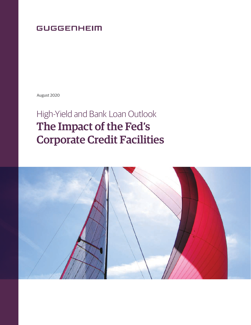# **GUGGENHEIM**

August 2020

# High-Yield and Bank Loan Outlook The Impact of the Fed's Corporate Credit Facilities

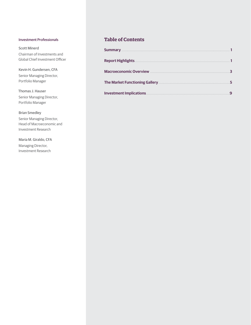#### Investment Professionals

Scott Minerd Chairman of Investments and Global Chief Investment Officer

Kevin H. Gundersen, CFA Senior Managing Director, Portfolio Manager

Thomas J. Hauser Senior Managing Director, Portfolio Manager

#### Brian Smedley

Senior Managing Director, Head of Macroeconomic and Investment Research

Maria M. Giraldo, CFA Managing Director, Investment Research

#### **Table of Contents**

| <b>Summary</b><br>,我们也不能在这里,我们也不能会在这里,我们也不能会在这里,我们也不能会在这里,我们也不能会不能会不能会。""我们,我们也不能会不能会不能会不能会不能会不能会不 |   |
|----------------------------------------------------------------------------------------------------|---|
| <b>Report Highlights</b>                                                                           |   |
| <b>Macroeconomic Overview</b>                                                                      | 3 |
| The Market Functioning Gallery.                                                                    | 5 |
| <b>Investment Implications</b>                                                                     | q |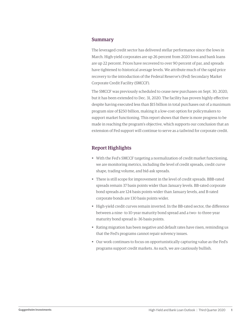#### Summary

The leveraged credit sector has delivered stellar performance since the lows in March. High-yield corporates are up 26 percent from 2020 lows and bank loans are up 22 percent. Prices have recovered to over 90 percent of par, and spreads have tightened to historical average levels. We attribute much of the rapid price recovery to the introduction of the Federal Reserve's (Fed) Secondary Market Corporate Credit Facility (SMCCF).

The SMCCF was previously scheduled to cease new purchases on Sept. 30, 2020, but it has been extended to Dec. 31, 2020. The facility has proven highly effective despite having executed less than \$15 billion in total purchases out of a maximum program size of \$250 billion, making it a low-cost option for policymakers to support market functioning. This report shows that there is more progress to be made in reaching the program's objective, which supports our conclusion that an extension of Fed support will continue to serve as a tailwind for corporate credit.

#### Report Highlights

- With the Fed's SMCCF targeting a normalization of credit market functioning, we are monitoring metrics, including the level of credit spreads, credit curve shape, trading volume, and bid-ask spreads.
- There is still scope for improvement in the level of credit spreads. BBB-rated spreads remain 37 basis points wider than January levels. BB-rated corporate bond spreads are 124 basis points wider than January levels, and B-rated corporate bonds are 130 basis points wider.
- High-yield credit curves remain inverted. In the BB-rated sector, the difference between a nine- to 10-year maturity bond spread and a two- to three-year maturity bond spread is -36 basis points.
- Rating migration has been negative and default rates have risen, reminding us that the Fed's programs cannot repair solvency issues.
- Our work continues to focus on opportunistically capturing value as the Fed's programs support credit markets. As such, we are cautiously bullish.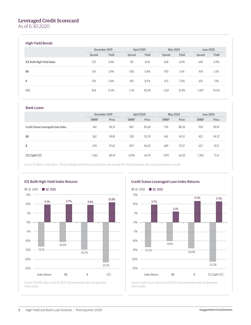#### Leveraged Credit Scorecard

As of 6.30.2020

#### High-Yield Bonds

|                                  | December 2019 |       | April 2020 |       | <b>May 2020</b> |       | <b>June 2020</b> |       |
|----------------------------------|---------------|-------|------------|-------|-----------------|-------|------------------|-------|
|                                  | Spread        | Yield | Spread     | Yield | Spread          | Yield | Spread           | Yield |
| <b>ICE BofA High-Yield Index</b> | 372           | 5.4%  | 761        | 8.1%  | 658             | 6.9%  | 649              | 6.9%  |
| <b>BB</b>                        | 214           | 3.9%  | 540        | 5.8%  | 470             | 5.1%  | 474              | 5.1%  |
| B                                | 374           | 5.4%  | 813        | 8.5%  | 673             | 7.0%  | 676              | 7.1%  |
| CCC                              | 964           | 11.3% | 1.716      | 18.0% | 1,501           | 15.4% | 1.407            | 14.5% |

#### Bank Loans

|                                           | December 2019 |       | April 2020 |       | <b>May 2020</b> |       | <b>June 2020</b> |       |
|-------------------------------------------|---------------|-------|------------|-------|-----------------|-------|------------------|-------|
|                                           | DMM*          | Price | DMM*       | Price | DMM*            | Price | DMM <sup>*</sup> | Price |
| <b>Credit Suisse Leveraged Loan Index</b> | 461           | 96.51 | 847        | 85.69 | 734             | 88.56 | 700              | 89.47 |
| <b>BB</b>                                 | 262           | 99.81 | 528        | 92.29 | 442             | 94.51 | 452              | 94.37 |
| B                                         | 470           | 97.67 | 879        | 86.92 | 689             | 92.17 | 657              | 93.11 |
| <b>CCC/Split CCC</b>                      | 1,365         | 80.14 | 2.096      | 64.74 | 1,995           | 66.03 | 1.760            | 71.15 |

Source: ICE BofA, Credit Suisse. \*Discount Margin to Maturity assumes three-year average life. Past performance does not guarantee future results.





Source: Credit Suisse. Data as of 6.30.2020. Past performance does not guarantee future results.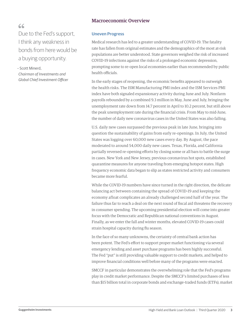#### Macroeconomic Overview

### $66$

Due to the Fed's support, I think any weakness in bonds from here would be a buying opportunity.

– Scott Minerd, *Chairman of Investments and Global Chief Investment Officer*

#### **Uneven Progress**

Medical research has led to a greater understanding of COVID-19. The fatality rate has fallen from original estimates and the demographics of the most at-risk populations are better understood. State governors weighed the risk of increased COVID-19 infections against the risks of a prolonged economic depression, prompting some to re-open local economies earlier than recommended by public health officials.

In the early stages of reopening, the economic benefits appeared to outweigh the health risks. The ISM Manufacturing PMI index and the ISM Services PMI index have both signaled expansionary activity during June and July. Nonfarm payrolls rebounded by a combined 9.3 million in May, June and July, bringing the unemployment rate down from 14.7 percent in April to 10.2 percent, but still above the peak unemployment rate during the financial crisis. From May to mid-June, the number of daily new coronavirus cases in the United States was also falling.

U.S. daily new cases surpassed the previous peak in late June, bringing into question the sustainability of gains from early re-openings. In July, the United States was logging over 60,000 new cases every day. By August, the pace moderated to around 54,000 daily new cases. Texas, Florida, and California partially reversed re-opening efforts by closing some or all bars to battle the surge in cases. New York and New Jersey, previous coronavirus hot spots, established quarantine measures for anyone traveling from emerging hotspot states. High frequency economic data began to slip as states restricted activity and consumers became more fearful.

While the COVID-19 numbers have since turned in the right direction, the delicate balancing act between containing the spread of COVID-19 and keeping the economy afloat complicates an already challenged second half of the year. The failure thus far to reach a deal on the next round of fiscal aid threatens the recovery in consumer spending. The upcoming presidential election will come into greater focus with the Democratic and Republican national conventions in August. Finally, as we enter the fall and winter months, elevated COVID-19 cases could strain hospital capacity during flu season.

In the face of so many unknowns, the certainty of central bank action has been potent. The Fed's effort to support proper market functioning via several emergency lending and asset purchase programs has been highly successful. The Fed "put" is still providing valuable support to credit markets, and helped to improve financial conditions well before many of the programs were enacted.

SMCCF in particular demonstrates the overwhelming role that the Fed's programs play in credit market performance. Despite the SMCCF's limited purchases of less than \$15 billion total in corporate bonds and exchange-traded funds (ETFs), market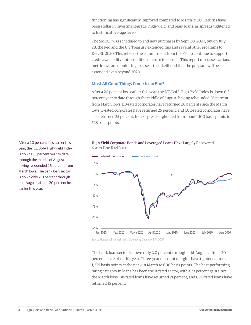functioning has significantly improved compared to March 2020. Returns have been stellar in investment-grade, high-yield, and bank loans, as spreads tightened to historical average levels.

The SMCCF was scheduled to end new purchases by Sept. 30, 2020, but on July 28, the Fed and the U.S Treasury extended this and several other programs to Dec. 31, 2020. This reflects the commitment from the Fed to continue to support credit availability until conditions return to normal. This report discusses various metrics we are monitoring to assess the likelihood that the program will be extended even beyond 2020.

#### **Must All Good Things Come to an End?**

After a 20 percent loss earlier this year, the ICE BofA High-Yield Index is down 0.3 percent year to date through the middle of August, having rebounded 26 percent from March lows. BB-rated corporates have returned 26 percent since the March lows, B-rated corporates have returned 25 percent, and CCC-rated corporates have also returned 25 percent. Index spreads tightened from about 1,100 basis points to 528 basis points.







Source: Guggenheim Investments, Bloomberg. Data as of 8.14.2020.

The bank loan sector is down only 2.0 percent through mid-August, after a 20 percent loss earlier this year. Three-year discount margins have tightened from 1,275 basis points at the peak in March to 600 basis points. The best-performing rating category in loans has been the B-rated sector, with a 23 percent gain since the March lows. BB-rated loans have returned 21 percent, and CCC-rated loans have returned 15 percent.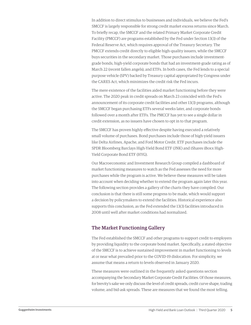In addition to direct stimulus to businesses and individuals, we believe the Fed's SMCCF is largely responsible for strong credit market excess returns since March. To briefly recap, the SMCCF and the related Primary Market Corporate Credit Facility (PMCCF) are programs established by the Fed under Section 13(3) of the Federal Reserve Act, which requires approval of the Treasury Secretary. The PMCCF extends credit directly to eligible high-quality issuers, while the SMCCF buys securities in the secondary market. Those purchases include investmentgrade bonds, high-yield corporate bonds that had an investment-grade rating as of March 22 (recent fallen angels), and ETFs. In both cases, the Fed lends to a special purpose vehicle (SPV) backed by Treasury capital appropriated by Congress under the CARES Act, which minimizes the credit risk the Fed incurs.

The mere existence of the facilities aided market functioning before they were active. The 2020 peak in credit spreads on March 23 coincided with the Fed's announcement of its corporate credit facilities and other 13(3) programs, although the SMCCF began purchasing ETFs several weeks later, and corporate bonds followed over a month after ETFs. The PMCCF has yet to see a single dollar in credit extension, as no issuers have chosen to opt in to that program.

The SMCCF has proven highly effective despite having executed a relatively small volume of purchases. Bond purchases include those of high-yield issuers like Delta Airlines, Apache, and Ford Motor Credit. ETF purchases include the SPDR Bloomberg Barclays High-Yield Bond ETF (JNK) and iShares iBoxx High-Yield Corporate Bond ETF (HYG).

Our Macroeconomic and Investment Research Group compiled a dashboard of market functioning measures to watch as the Fed assesses the need for more purchases while the program is active. We believe these measures will be taken into account when deciding whether to extend the program again later this year. The following section provides a gallery of the charts they have compiled. Our conclusion is that there is still some progress to be made, which would support a decision by policymakers to extend the facilities. Historical experience also supports this conclusion, as the Fed extended the 13(3) facilities introduced in 2008 until well after market conditions had normalized.

#### The Market Functioning Gallery

The Fed established the SMCCF and other programs to support credit to employers by providing liquidity to the corporate bond market. Specifically, a stated objective of the SMCCF is to achieve sustained improvement in market functioning to levels at or near what prevailed prior to the COVID-19 dislocation. For simplicity, we assume that means a return to levels observed in January 2020.

These measures were outlined in the frequently asked questions section accompanying the Secondary Market Corporate Credit Facilities. Of those measures, for brevity's sake we only discuss the level of credit spreads, credit curve shape, trading volume, and bid-ask spreads. These are measures that we found the most telling.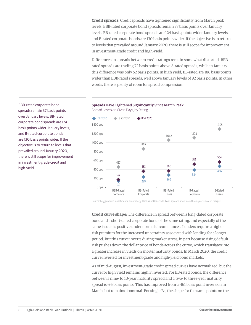**Credit spreads:** Credit spreads have tightened significantly from March peak levels. BBB-rated corporate bond spreads remain 37 basis points over January levels. BB-rated corporate bond spreads are 124 basis points wider January levels, and B-rated corporate bonds are 130 basis points wider. If the objective is to return to levels that prevailed around January 2020, there is still scope for improvement in investment-grade credit and high-yield.

Differences in spreads between credit ratings remain somewhat distorted. BBBrated spreads are trading 72 basis points above A-rated spreads, while in January this difference was only 52 basis points. In high yield, BB-rated are 186 basis points wider than BBB-rated spreads, well above January levels of 92 basis points. In other words, there is plenty of room for spread compression.

### Spreads Have Tightened Significantly Since March Peak

Spread Levels on Given Days, by Rating



Source: Guggenheim Investments, Bloomberg. Data as of 8.14.2020. Loan spreads shown are three-year discount margins.

**Credit curve shape:** The difference in spread between a long-dated corporate bond and a short-dated corporate bond of the same rating, and especially of the same issuer, is positive under normal circumstances. Lenders require a higher risk premium for the increased uncertainty associated with lending for a longer period. But this curve inverts during market stress, in part because rising default risk pushes down the dollar price of bonds across the curve, which translates into a greater increase in yields on shorter maturity bonds. In March 2020, the credit curve inverted for investment-grade and high-yield bond markets.

As of mid-August, investment-grade credit spread curves have normalized, but the curve for high yield remains highly inverted. For BB-rated bonds, the difference between a nine- to 10-year maturity spread and a two- to three-year maturity spread is -36 basis points. This has improved from a -161 basis point inversion in March, but remains abnormal. For single Bs, the shape for the same points on the

BBB-rated corporate bond spreads remain 37 basis points over January levels. BB-rated corporate bond spreads are 124 basis points wider January levels, and B-rated corporate bonds are 130 basis points wider. If the objective is to return to levels that prevailed around January 2020, there is still scope for improvement in investment-grade credit and high-yield.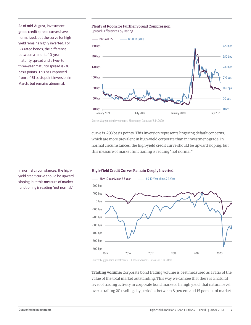As of mid-August, investmentgrade credit spread curves have normalized, but the curve for high yield remains highly inverted. For BB-rated bonds, the difference between a nine- to 10-year maturity spread and a two- to three-year maturity spread is -36 basis points. This has improved from a -161 basis point inversion in March, but remains abnormal.

#### Plenty of Room for Further Spread Compression

Spread Differences by Rating



Source: Guggenheim Investments, Bloomberg. Data as of 8.14.2020.

curve is -293 basis points. This inversion represents lingering default concerns, which are more prevalent in high-yield corporate than in investment-grade. In normal circumstances, the high-yield credit curve should be upward sloping, but this measure of market functioning is reading "not normal."



#### High-Yield Credit Curves Remain Deeply Inverted

Source: Guggenheim Investments, ICE Index Services. Data as of 8.14.2020.

**Trading volume:** Corporate bond trading volume is best measured as a ratio of the value of the total market outstanding. This way we can see that there is a natural level of trading activity in corporate bond markets. In high yield, that natural level over a trailing 20 trading day period is between 8 percent and 15 percent of market

In normal circumstances, the highyield credit curve should be upward sloping, but this measure of market functioning is reading "not normal."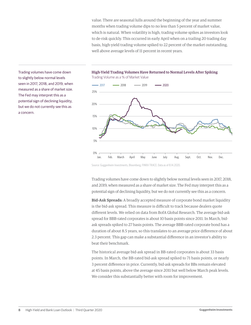value. There are seasonal lulls around the beginning of the year and summer months when trading volume dips to no less than 5 percent of market value, which is natural. When volatility is high, trading volume spikes as investors look to de-risk quickly. This occurred in early April when on a trailing 20 trading day basis, high-yield trading volume spiked to 22 percent of the market outstanding, well above average levels of 11 percent in recent years.

2017 **- 2018** - 2019 **- 2020** Jan. Feb. March April May June July Aug. Sept. Oct. Nov. Dec. 0% 5% 10% 15% 20% 25%

#### High-Yield Trading Volumes Have Returned to Normal Levels After Spiking Trading Volume as a % of Market Value

Source: Guggenheim Investments, Bloomberg, FINRA TRACE. Data as of 8.14.2020.

Trading volumes have come down to slightly below normal levels seen in 2017, 2018, and 2019, when measured as a share of market size. The Fed may interpret this as a potential sign of declining liquidity, but we do not currently see this as a concern.

**Bid-Ask Spreads:** A broadly accepted measure of corporate bond market liquidity is the bid-ask spread. This measure is difficult to track because dealers quote different levels. We relied on data from BofA Global Research. The average bid-ask spread for BBB-rated corporates is about 10 basis points since 2011. In March, bidask spreads spiked to 27 basis points. The average BBB-rated corporate bond has a duration of about 8.5 years, so this translates to an average price difference of about 2.3 percent. This gap can make a substantial difference in an investor's ability to beat their benchmark.

The historical average bid-ask spread in BB-rated corporates is about 33 basis points. In March, the BB-rated bid-ask spread spiked to 71 basis points, or nearly 3 percent difference in price. Currently, bid-ask spreads for BBs remain elevated at 45 basis points, above the average since 2011 but well below March peak levels. We consider this substantially better with room for improvement.

Trading volumes have come down to slightly below normal levels seen in 2017, 2018, and 2019, when measured as a share of market size. The Fed may interpret this as a potential sign of declining liquidity, but we do not currently see this as a concern.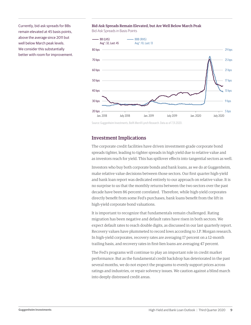Currently, bid-ask spreads for BBs remain elevated at 45 basis points, above the average since 2011 but well below March peak levels. We consider this substantially better with room for improvement.

#### Bid-Ask Spreads Remain Elevated, but Are Well Below March Peak

Bid-Ask Spreads in Basis Points



Source: Guggenheim Investments, BofA Merrill Lynch Research. Data as of 7.31.2020.

#### Investment Implications

The corporate credit facilities have driven investment-grade corporate bond spreads tighter, leading to tighter spreads in high yield due to relative value and as investors reach for yield. This has spillover effects into tangential sectors as well.

Investors who buy both corporate bonds and bank loans, as we do at Guggenheim, make relative value decisions between those sectors. Our first quarter high-yield and bank loan report was dedicated entirely to our approach on relative value. It is no surprise to us that the monthly returns between the two sectors over the past decade have been 86 percent correlated. Therefore, while high-yield corporates directly benefit from some Fed's purchases, bank loans benefit from the lift in high-yield corporate bond valuations.

It is important to recognize that fundamentals remain challenged. Rating migration has been negative and default rates have risen in both sectors. We expect default rates to reach double digits, as discussed in our last quarterly report. Recovery values have plummeted to record lows according to J.P. Morgan research. In high-yield corporates, recovery rates are averaging 17 percent on a 12-month trailing basis, and recovery rates in first-lien loans are averaging 47 percent.

The Fed's programs will continue to play an important role in credit market performance. But as the fundamental credit backdrop has deteriorated in the past several months, we do not expect the programs to evenly support prices across ratings and industries, or repair solvency issues. We caution against a blind march into deeply distressed credit areas.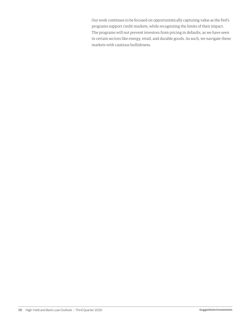Our work continues to be focused on opportunistically capturing value as the Fed's programs support credit markets, while recognizing the limits of their impact. The programs will not prevent investors from pricing in defaults, as we have seen in certain sectors like energy, retail, and durable goods. As such, we navigate these markets with cautious bullishness.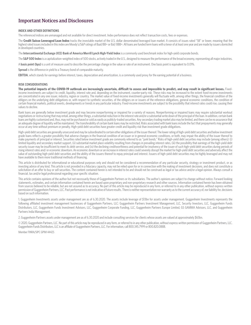#### Important Notices and Disclosures

#### **INDEX AND OTHER DEFINITIONS**

The referenced indices are unmanaged and not available for direct investment. Index performance does not reflect transaction costs, fees or expenses.

The Credit Suisse Leveraged Loan Index tracks the investable market of the U.S. dollar denominated leveraged loan market. It consists of issues rated "5B" or lower, meaning that the highest rated issues included in this index are Moody's/S&P ratings of Baa1/BB+ or Ba1/ BBB+. All loans are funded term loans with a tenor of at least one year and are made by issuers domiciled in developed countries.

The **Intercontinental Exchange (ICE) Bank of America Merrill Lynch High-Yield Index** is a commonly used benchmark index for high-yield corporate bonds.

The S&P 500 Index is a capitalization-weighted index of 500 stocks, actively traded in the U.S., designed to measure the performance of the broad economy, representing all major industries.

A **basis point (bps)** is a unit of measure used to describe the percentage change in the value or rate of an instrument. One basis point is equivalent to 0.01%.

**Spread** is the difference in yield to a Treasury bond of comparable maturity.

**EBITDA**, which stands for earnings before interest, taxes, depreciation and amortization, is a commonly used proxy for the earning potential of a business.

#### **RISK CONSIDERATIONS**

**The potential impacts of the COVID-19 outbreak are increasingly uncertain, difficult to assess and impossible to predict, and may result in significant losses.** Fixedincome investments are subject to credit, liquidity, interest rate and, depending on the instrument, counter-party risk. These risks may be increased to the extent fixed-income investments are concentrated in any one issuer, industry, region or country. The market value of fixed-income investments generally will fluctuate with, among other things, the financial condition of the obligors on the underlying debt obligations or, with respect to synthetic securities, of the obligors on or issuers of the reference obligations, general economic conditions, the condition of certain financial markets, political events, developments or trends in any particular industry. Fixed-income investments are subject to the possibility that interest rates could rise, causing their values to decline.

Bank loans are generally below investment grade and may become nonperforming or impaired for a variety of reasons. Nonperforming or impaired loans may require substantial workout negotiations or restructuring that may entail, among other things, a substantial reduction in the interest rate and/or a substantial write down of the principal of the loan. In addition, certain bank loans are highly customized and, thus, may not be purchased or sold as easily as publicly-traded securities. Any secondary trading market also may be limited, and there can be no assurance that an adequate degree of liquidity will be maintained. The transferability of certain bank loans may be restricted. Risks associated with bank loans include the fact that prepayments may generally occur at any time without premium or penalty. High-yield debt securities have greater credit and liquidity risk than investment grade obligations.

High-yield debt securities are generally unsecured and may be subordinated to certain other obligations of the issuer thereof. The lower rating of high-yield debt securities and below investment grade loans reflects a greater possibility that adverse changes in the financial condition of an issuer or in general economic conditions, or both, may impair the ability of the issuer thereof to make payments of principal or interest. Securities rated below investment grade are commonly referred to as "junk bonds." Risks of high-yield debt securities may include (among others): (i) limited liquidity and secondary market support, (ii) substantial market place volatility resulting from changes in prevailing interest rates, (iii) the possibility that earnings of the high-yield debt security issuer may be insufficient to meet its debt service, and (iv) the declining creditworthiness and potential for insolvency of the issuer of such high-yield debt securities during periods of rising interest rates and/or economic downturn. An economic downturn or an increase in interest rates could severely disrupt the market for high-yield debt securities and adversely affect the value of outstanding high-yield debt securities and the ability of the issuers thereof to repay principal and interest. Issuers of high-yield debt securities may be highly leveraged and may not have available to them more traditional methods of financing.

This article is distributed for informational or educational purposes only and should not be considered a recommendation of any particular security, strategy or investment product, or as investing advice of any kind. This article is not provided in a fiduciary capacity, may not be relied upon for or in connection with the making of investment decisions, and does not constitute a solicitation of an offer to buy or sell securities. The content contained herein is not intended to be and should not be construed as legal or tax advice and/or a legal opinion. Always consult a financial, tax and/or legal professional regarding your specific situation.

This article contains opinions of the author but not necessarily those of Guggenheim Partners or its subsidiaries. The author's opinions are subject to change without notice. Forward looking statements, estimates, and certain information contained herein are based upon proprietary and non-proprietary research and other sources. Information contained herein has been obtained from sources believed to be reliable, but are not assured as to accuracy. No part of this article may be reproduced in any form, or referred to in any other publication, without express written permission of Guggenheim Partners, LLC. Past performance is not indicative of future results. There is neither representation nor warranty as to the current accuracy of, nor liability for, decisions based on such information.

1. Guggenheim Investments assets under management are as of 6.30.2020. The assets include leverage of \$13bn for assets under management. Guggenheim Investments represents the following affiliated investment management businesses of Guggenheim Partners, LLC: Guggenheim Partners Investment Management, LLC, Security Investors, LLC, Guggenheim Funds Distributors, LLC, Guggenheim Funds Investment Advisors, LLC, Guggenheim Corporate Funding, LLC, Guggenheim Partners Europe Limited, GS GAMMA Advisors, LLC, and Guggenheim Partners India Management.

2. Guggenheim Partners assets under management are as of 6.30.2020 and include consulting services for clients whose assets are valued at approximately \$65bn.

© 2020, Guggenheim Partners, LLC. No part of this article may be reproduced in any form, or referred to in any other publication, without express written permission of Guggenheim Partners, LLC. Guggenheim Funds Distributors, LLC is an affiliate of Guggenheim Partners, LLC. For information, call 800.345.7999 or 800.820.0888.

Member FINRA/SIPC GPIM 44425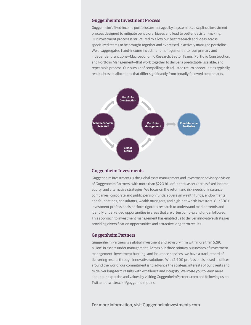#### Guggenheim's Investment Process

Guggenheim's fixed-income portfolios are managed by a systematic, disciplined investment process designed to mitigate behavioral biases and lead to better decision-making. Our investment process is structured to allow our best research and ideas across specialized teams to be brought together and expressed in actively managed portfolios. We disaggregated fixed-income investment management into four primary and independent functions—Macroeconomic Research, Sector Teams, Portfolio Construction, and Portfolio Management—that work together to deliver a predictable, scalable, and repeatable process. Our pursuit of compelling risk-adjusted return opportunities typically results in asset allocations that differ significantly from broadly followed benchmarks.



#### Guggenheim Investments

Guggenheim Investments is the global asset management and investment advisory division of Guggenheim Partners, with more than \$220 billion<sup>1</sup> in total assets across fixed income, equity, and alternative strategies. We focus on the return and risk needs of insurance companies, corporate and public pension funds, sovereign wealth funds, endowments and foundations, consultants, wealth managers, and high-net-worth investors. Our 300+ investment professionals perform rigorous research to understand market trends and identify undervalued opportunities in areas that are often complex and underfollowed. This approach to investment management has enabled us to deliver innovative strategies providing diversification opportunities and attractive long-term results.

#### Guggenheim Partners

Guggenheim Partners is a global investment and advisory firm with more than \$280 billion<sup>2</sup> in assets under management. Across our three primary businesses of investment management, investment banking, and insurance services, we have a track record of delivering results through innovative solutions. With 2,400 professionals based in offices around the world, our commitment is to advance the strategic interests of our clients and to deliver long-term results with excellence and integrity. We invite you to learn more about our expertise and values by visiting GuggenheimPartners.com and following us on Twitter at twitter.com/guggenheimptnrs.

For more information, visit GuggenheimInvestments.com.